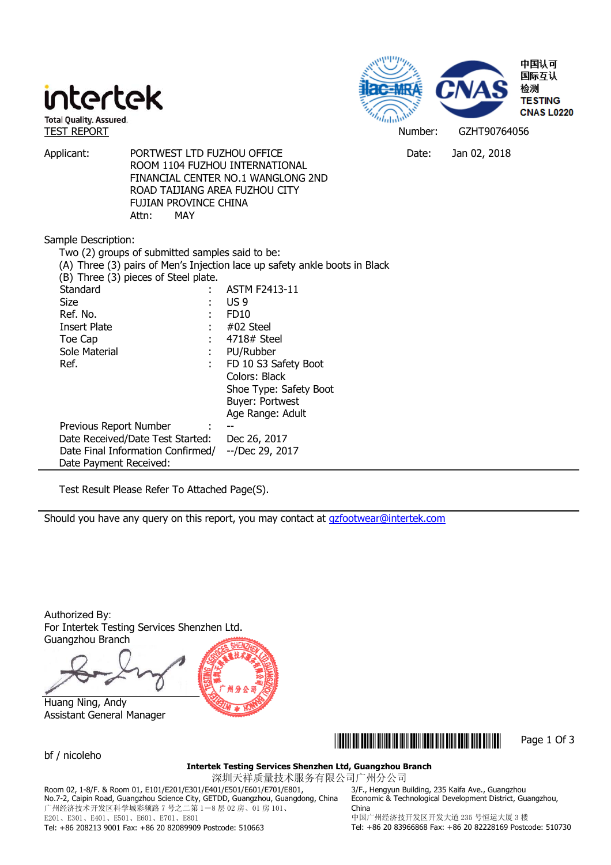



Applicant: PORTWEST LTD FUZHOU OFFICE CHANNERS Applicant: Jan 02, 2018 ROOM 1104 FUZHOU INTERNATIONAL FINANCIAL CENTER NO.1 WANGLONG 2ND ROAD TAIJIANG AREA FUZHOU CITY FUJIAN PROVINCE CHINA Attn: MAY

Sample Description:

| Two (2) groups of submitted samples said to be: | (A) Three (3) pairs of Men's Injection lace up safety ankle boots in Black |
|-------------------------------------------------|----------------------------------------------------------------------------|
| (B) Three (3) pieces of Steel plate.            |                                                                            |
| Standard                                        | <b>ASTM F2413-11</b>                                                       |
| Size                                            | US 9                                                                       |
| Ref. No.                                        | FD <sub>10</sub>                                                           |
| Insert Plate                                    | $#02$ Steel                                                                |
| Toe Cap                                         | 4718# Steel                                                                |
| Sole Material                                   | PU/Rubber                                                                  |
| Ref.<br>÷                                       | FD 10 S3 Safety Boot                                                       |
|                                                 | Colors: Black                                                              |
|                                                 | Shoe Type: Safety Boot                                                     |
|                                                 | <b>Buyer: Portwest</b>                                                     |
|                                                 | Age Range: Adult                                                           |
| Previous Report Number                          | $- -$                                                                      |
| Date Received/Date Test Started:                | Dec 26, 2017                                                               |
| Date Final Information Confirmed/               | --/Dec 29, 2017                                                            |
| Date Payment Received:                          |                                                                            |

Test Result Please Refer To Attached Page(S).

Should you have any query on this report, you may contact at **gzfootwear@intertek.com** 

Authorized By: For Intertek Testing Services Shenzhen Ltd. Guangzhou Branch

 Huang Ning, Andy Assistant General Manager



\*GZHT90764056\* Page 1 Of 3

bf / nicoleho

#### **Intertek Testing Services Shenzhen Ltd, Guangzhou Branch**

深圳天祥质量技术服务有限公司广州分公司

Room 02, 1-8/F. & Room 01, E101/E201/E301/E401/E501/E601/E701/E801, No.7-2, Caipin Road, Guangzhou Science City, GETDD, Guangzhou, Guangdong, China 广州经济技术开发区科学城彩频路 7 号之二第 1-8 层 02 房、01 房 101、 E201、E301、E401、E501、E601、E701、E801

3/F., Hengyun Building, 235 Kaifa Ave., Guangzhou Economic & Technological Development District, Guangzhou, China

Tel: +86 208213 9001 Fax: +86 20 82089909 Postcode: 510663

中国广州经济技开发区开发大道 235 号恒运大厦 3 楼 Tel: +86 20 83966868 Fax: +86 20 82228169 Postcode: 510730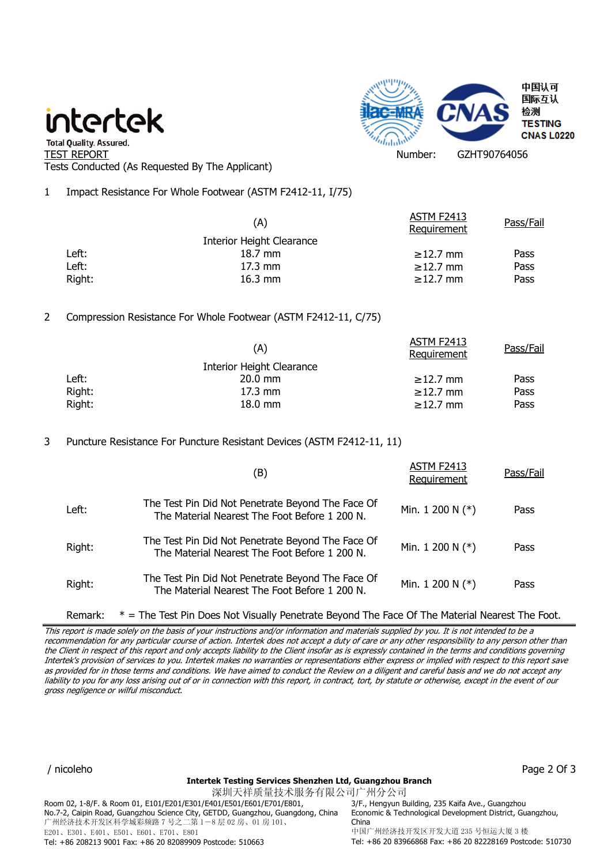## intertek



" Total Quality. Assured.<br>TEST REPORT Number: GZHT90764056 Tests Conducted (As Requested By The Applicant)

1 Impact Resistance For Whole Footwear (ASTM F2412-11, I/75)

|        | (A)                       | <b>ASTM F2413</b><br>Requirement | Pass/Fail |
|--------|---------------------------|----------------------------------|-----------|
|        | Interior Height Clearance |                                  |           |
| Left:  | 18.7 mm                   | $\geq$ 12.7 mm                   | Pass      |
| Left:  | $17.3 \text{ mm}$         | $\geq$ 12.7 mm                   | Pass      |
| Right: | $16.3 \text{ mm}$         | $\geq$ 12.7 mm                   | Pass      |
|        |                           |                                  |           |

## 2 Compression Resistance For Whole Footwear (ASTM F2412-11, C/75)

| (A)                              | ASTM F2413<br>Requirement | Pass/Fail |
|----------------------------------|---------------------------|-----------|
| <b>Interior Height Clearance</b> |                           |           |
| $20.0$ mm                        | $\geq$ 12.7 mm            | Pass      |
| $17.3 \text{ mm}$                | $\geq$ 12.7 mm            | Pass      |
| $18.0$ mm                        | $\geq$ 12.7 mm            | Pass      |
|                                  |                           |           |

3 Puncture Resistance For Puncture Resistant Devices (ASTM F2412-11, 11)

|        | (B)                                                                                                | ASTM F2413<br>Requirement | Pass/Fail |
|--------|----------------------------------------------------------------------------------------------------|---------------------------|-----------|
| Left:  | The Test Pin Did Not Penetrate Beyond The Face Of<br>The Material Nearest The Foot Before 1 200 N. | Min. 1 200 N $(*)$        | Pass      |
| Right: | The Test Pin Did Not Penetrate Beyond The Face Of<br>The Material Nearest The Foot Before 1 200 N. | Min. 1 200 N $(*)$        | Pass      |
| Right: | The Test Pin Did Not Penetrate Beyond The Face Of<br>The Material Nearest The Foot Before 1 200 N. | Min. $1200 N (*)$         | Pass      |

Remark: \* = The Test Pin Does Not Visually Penetrate Beyond The Face Of The Material Nearest The Foot.

This report is made solely on the basis of your instructions and/or information and materials supplied by you. It is not intended to be a recommendation for any particular course of action. Intertek does not accept a duty of care or any other responsibility to any person other than the Client in respect of this report and only accepts liability to the Client insofar as is expressly contained in the terms and conditions governing Intertek's provision of services to you. Intertek makes no warranties or representations either express or implied with respect to this report save as provided for in those terms and conditions. We have aimed to conduct the Review on a diligent and careful basis and we do not accept any liability to you for any loss arising out of or in connection with this report, in contract, tort, by statute or otherwise, except in the event of our gross negligence or wilful misconduct.

/ nicoleho Page 2 Of 3

#### **Intertek Testing Services Shenzhen Ltd, Guangzhou Branch**

深圳天祥质量技术服务有限公司广州分公司 Room 02, 1-8/F. & Room 01, E101/E201/E301/E401/E501/E601/E701/E801, No.7-2, Caipin Road, Guangzhou Science City, GETDD, Guangzhou, Guangdong, China 广州经济技术开发区科学城彩频路 7 号之二第 1-8 层 02 房、01 房 101、 E201、E301、E401、E501、E601、E701、E801 Tel: +86 208213 9001 Fax: +86 20 82089909 Postcode: 510663

3/F., Hengyun Building, 235 Kaifa Ave., Guangzhou Economic & Technological Development District, Guangzhou, China 中国广州经济技开发区开发大道 235 号恒运大厦 3 楼 Tel: +86 20 83966868 Fax: +86 20 82228169 Postcode: 510730